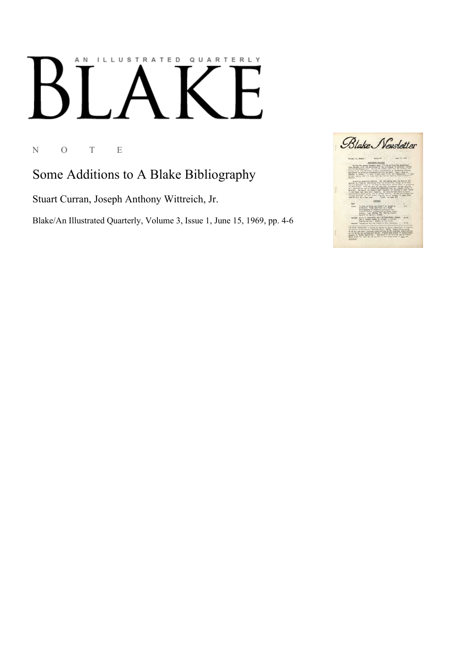## AN ILLUSTRATED QUARTERLY

N O T E

Some Additions to A Blake Bibliography

Stuart Curran, Joseph Anthony Wittreich, Jr.

Blake/An Illustrated Quarterly, Volume 3, Issue 1, June 15, 1969, pp. 4-6

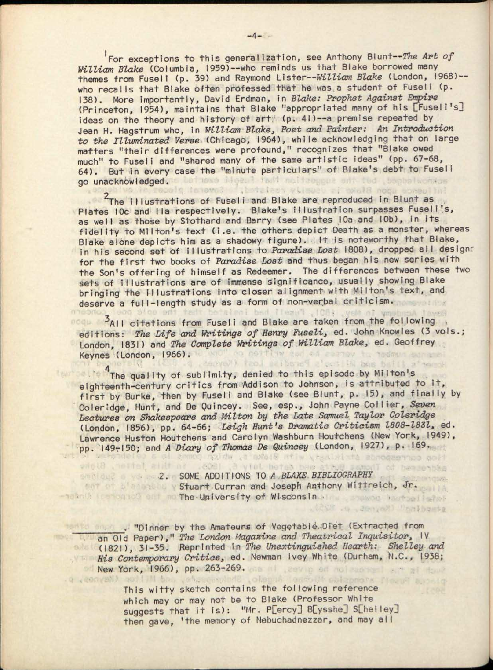For exceptions to this generalization, see Anthony Blunt—*The Art of William Blake* (Columbia, 1959)—who reminds us that Blake borrowed many themes from Fusell (p. 39) and Raymond Lister--William Blake (London, 1968) -who recalls that Blake often professed that he was a student of Fuseli (p. 138). More importantly, David Erdman, in *Blake: Prophet Against Empire*  (Princeton, 1954), maintains that Blake "appropriated many of his [Tuseli's] ideas on the theory and history of art (p. 41)--a premise repeated by Jean H. Hagstrum who, in *William Blake, Poet and Painter: An Introduction to the Illuminated Verse* (Chicago, 1964), while acknowledging that on large matters "their differences were profound," recognizes that "Blake owed much" to Fuseli and "shared many of the same artistic ideas" (pp. 67-68, 64). But in every case the "minute particulars" of Blake's debt to Fuseli go unacknowledged. Lutions ilgent fait multesgers unt tud usphalachtus

The illustrations of Fuseli and Blake are reproduced in Blunt as Plates 10c and IIa respectively. Blake's illustration surpasses Fuseli's, as well as those by Stothard and Barry (see Plates 10a and 10b), in its fidelity to Milton's text (i.e. the others depict Death as a monster, whereas Blake alone depicts him as a shadowy figure). It is noteworthy that Blake, in his second set of illustrations to *Paradise Lost* 1808), dropped all designr for the first two books of *Paradise Lost* and thus began his new series with the Son's offering of himself as Redeemer. The differences between these two sets of illustrations are of immense significance, usually showing Blake bringing the illustrations into closer alignment with Milton's text, and deserve a full-length study as a form of non-verbal criticism.

<sup>3</sup>AII citations from Fuseli and Blake are taken from the following noqu a editions: *The Life and Writings of Henry Fuseli,* ed. John Knowles (3 vols.; London, 1831) and *The Complete Writings of William Blake,* ed. Geoffrey Keynes (London, 1966). or an earney

: 1001, Fusellined instat

<sup>4</sup> The quality of sublimity, denied to this episode by Milton's eighteenth-century critics from Addison to Johnson, is attributed to it, first by Burke, then by Fuseli and Blake (see Blunt, p. 15), and finally by Coler:dge, Hunt, and De Quincey. See, esp., John Payne Collier, *Seven Lectures on Shakespeare and Milton by the Late Samuel Taylor Coleridge*  (London, 1856), pp. 64-66; *Leigh Hunt's Dramatic Criticism 1808-1831,* ed. Lawrence Huston Houtchens and Carolyn Washburn Houtchens (New York, 1949), pp. 149-150; and *A Diary of Thomas De Quincey* (London, 1927), p. 169.

2. SOME ADDITIONS TO *A BLAKE BIBLIOGRAPHY*  Stuart Curran and Joseph Anthony Wittreich, Jr. The University of Wisconsin . The University of Wisconsin . The University of Wisconsin

noidw ,a masia atiw visabilita shoopernoo ook

.(258 .o . JenyaM) "balbasta

leadolyh oblizonora Plazie aus-

. "Dinner by the Amateurs of Vegetable.Diet (Extracted from an Old Paper)," The London Magazine and Theatrical Inquisitor, IV (1821), 31-35. .Reprinted In *The Unextinguished Hearth: Shelley and His Contemporary Critics,* ed. Newman Ivey White (Durham, N.C., 1938; New York, 1966), pp. 263-269.

> This witty sketch contains the following reference which may or may not be to Blake (Professor White suggests that it is): "Mr. P[ercy] B[ysshe] S[heiley] then gave, 'the memory of Nebuchadnezzar, and may all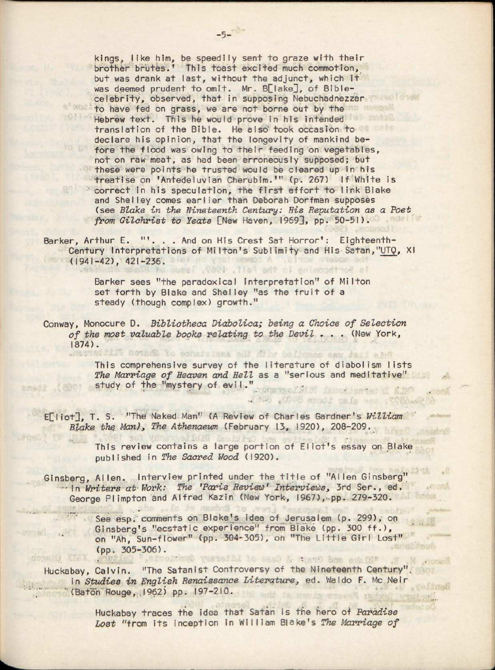kings, like him, be speedily sent to graze with their brother brutes.' This toast excited much commotion, but was drank at last, without the adjunct, which it was deemed prudent to omit. Mr. B[lake], of Biblecelebrity, observed, that in supposing Nebuchadnezzar to have fed on grass, we are not borne out by the Hebrew text. This he would prove in his intended translation of the Bible. He also took occasion to declare his opinion, that the longevity of mankind before the flood was owing to their feeding on vegetables, not on raw meat, as had been erroneously supposed; but these were points he trusted would be cleared up in his treatise on 'Antedeluvian Cherubim.'" (p. 267) If White is correct in his speculation, the first effort to link Blake and Shelley comes earlier than Deborah Dorfman supposes (see *Blake in the Nineteenth Century: His Reputation as a Poet from Gilchrist to Yeats* [New Haven, 1969], pp. 50-51).

Barker, Arthur E. "'. . . And on His Crest Sat Horror': Eighteenth-Century Interpretations of Milton's Sublimity and His Satan,"UTQ, XI  $(1941-42)$ ,  $421-236$ .

> Barker sees "the paradoxical interpretation" of Milton set forth by Blake and Shelley "as the fruit of a steady (though complex) growth."

Conway, Monocure D. *Bibliotheca Diabolica; being a Choice of Selection of the most valuable books relating to the Devil* » . . (New York, 1874). To novint to commissions oil dily bellomo

This comprehensive survey of the literature of diabolism lists *The Marriage of Heaven and Hell* as a "serious and meditative" study of the "mystery of evil."

ts forthcomina in the fait, ite?

6344 MOUS about on fa and with

sano N runto bon edular a M stock

E<sup>[</sup>liot<sup>]</sup>, T. S. "The Naked Man" (A Review of Charles Gardner's William <sup>of</sup> *Blake the Man), The Athenaeum* (February 13, 1920), 208-209.

> This review contains a large portion of Eliot's essay on Blake published in *The Sacred Wood* (1920).

Ginsberg, Allen. Interview printed under the title of "Allen Ginsberg" - in *Writers at Work: The 'Paris Review' Interviews,* 3rd Ser., ed. George Plimpton and Alfred Kazin (New York, 1967), pp. 279-320.

See esp, comments on Blake's idea of Jerusalem (p. 299), on Ginsberg's "ecstatic experience" from Blake (pp. 300 ff.), on "Ah, Sun-flower" (pp. 304-305), on "The Little Girl Lost" (pp. 305-306).

Huckabay, Calvin. "The Satanist Controversy of the Nineteenth Century", in *Studies in English Renaissance Literature,* ed. Waldo F. Mc Nelr (Baton Rouge, 1962) pp. 197-210.

> Huckabay traces the idea that Satan is the hero of *Paradise Lost* "from its inception in William Blake's *The Marriage of*

 $-11 - 1 -$